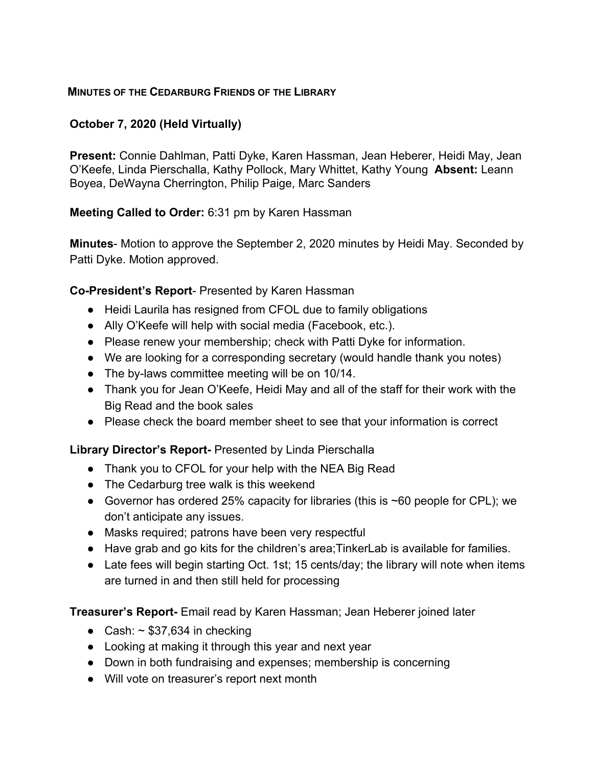### **MINUTES OF THE CEDARBURG FRIENDS OF THE LIBRARY**

## **October 7, 2020 (Held Virtually)**

**Present:** Connie Dahlman, Patti Dyke, Karen Hassman, Jean Heberer, Heidi May, Jean O'Keefe, Linda Pierschalla, Kathy Pollock, Mary Whittet, Kathy Young **Absent:** Leann Boyea, DeWayna Cherrington, Philip Paige, Marc Sanders

**Meeting Called to Order:** 6:31 pm by Karen Hassman

**Minutes**- Motion to approve the September 2, 2020 minutes by Heidi May. Seconded by Patti Dyke. Motion approved.

#### **Co-President's Report**- Presented by Karen Hassman

- Heidi Laurila has resigned from CFOL due to family obligations
- Ally O'Keefe will help with social media (Facebook, etc.).
- Please renew your membership; check with Patti Dyke for information.
- We are looking for a corresponding secretary (would handle thank you notes)
- The by-laws committee meeting will be on 10/14.
- Thank you for Jean O'Keefe, Heidi May and all of the staff for their work with the Big Read and the book sales
- Please check the board member sheet to see that your information is correct

#### **Library Director's Report-** Presented by Linda Pierschalla

- Thank you to CFOL for your help with the NEA Big Read
- The Cedarburg tree walk is this weekend
- Governor has ordered 25% capacity for libraries (this is  $\sim$  60 people for CPL); we don't anticipate any issues.
- Masks required; patrons have been very respectful
- Have grab and go kits for the children's area;TinkerLab is available for families.
- Late fees will begin starting Oct. 1st; 15 cents/day; the library will note when items are turned in and then still held for processing

**Treasurer's Report-** Email read by Karen Hassman; Jean Heberer joined later

- Cash:  $\sim$  \$37,634 in checking
- Looking at making it through this year and next year
- Down in both fundraising and expenses; membership is concerning
- Will vote on treasurer's report next month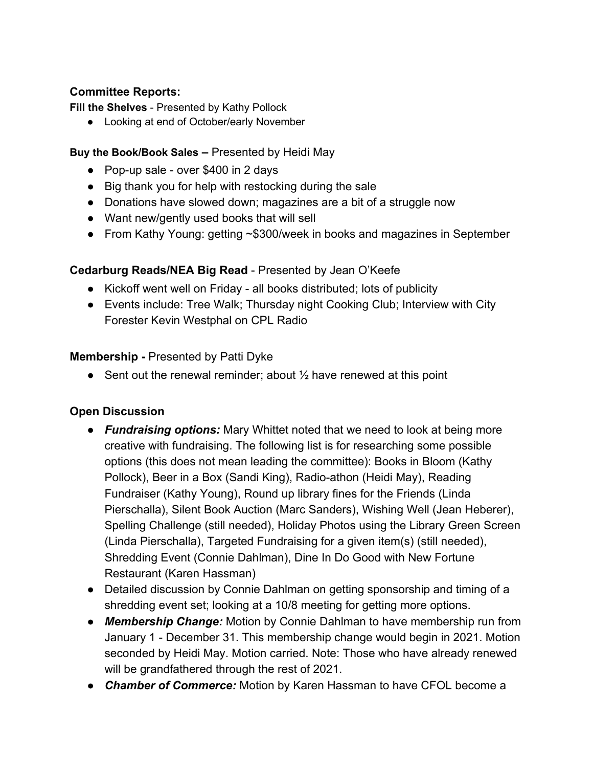## **Committee Reports:**

**Fill the Shelves** - Presented by Kathy Pollock

● Looking at end of October/early November

### **Buy the Book/Book Sales –** Presented by Heidi May

- Pop-up sale over \$400 in 2 days
- Big thank you for help with restocking during the sale
- Donations have slowed down; magazines are a bit of a struggle now
- Want new/gently used books that will sell
- From Kathy Young: getting ~\$300/week in books and magazines in September

# **Cedarburg Reads/NEA Big Read** - Presented by Jean O'Keefe

- Kickoff went well on Friday all books distributed; lots of publicity
- Events include: Tree Walk; Thursday night Cooking Club; Interview with City Forester Kevin Westphal on CPL Radio

## **Membership - Presented by Patti Dyke**

• Sent out the renewal reminder; about  $\frac{1}{2}$  have renewed at this point

# **Open Discussion**

- *Fundraising options:* Mary Whittet noted that we need to look at being more creative with fundraising. The following list is for researching some possible options (this does not mean leading the committee): Books in Bloom (Kathy Pollock), Beer in a Box (Sandi King), Radio-athon (Heidi May), Reading Fundraiser (Kathy Young), Round up library fines for the Friends (Linda Pierschalla), Silent Book Auction (Marc Sanders), Wishing Well (Jean Heberer), Spelling Challenge (still needed), Holiday Photos using the Library Green Screen (Linda Pierschalla), Targeted Fundraising for a given item(s) (still needed), Shredding Event (Connie Dahlman), Dine In Do Good with New Fortune Restaurant (Karen Hassman)
- Detailed discussion by Connie Dahlman on getting sponsorship and timing of a shredding event set; looking at a 10/8 meeting for getting more options.
- *Membership Change:* Motion by Connie Dahlman to have membership run from January 1 - December 31. This membership change would begin in 2021. Motion seconded by Heidi May. Motion carried. Note: Those who have already renewed will be grandfathered through the rest of 2021.
- *Chamber of Commerce:* Motion by Karen Hassman to have CFOL become a